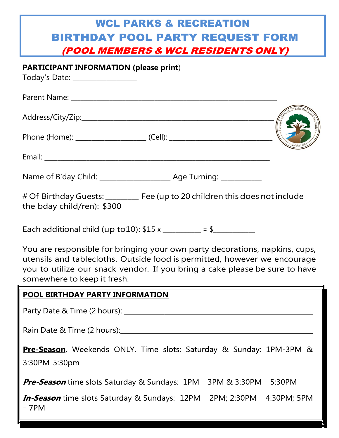# WCL PARKS & RECREATION BIRTHDAY POOL PARTY REQUEST FORM (POOL MEMBERS & WCL RESIDENTS ONLY)

**PARTICIPANT INFORMATION (please print**)

Today's Date: \_\_\_\_\_\_\_\_\_\_\_\_\_\_\_\_\_\_\_

| # Of Birthday Guests: _______ Fee (up to 20 children this does not include<br>the bday child/ren): \$300                                                                                                                                                               |  |
|------------------------------------------------------------------------------------------------------------------------------------------------------------------------------------------------------------------------------------------------------------------------|--|
| Each additional child (up to 10): $$15 x$ _________ = \$__________                                                                                                                                                                                                     |  |
| You are responsible for bringing your own party decorations, napkins, cups,<br>utensils and tablecloths. Outside food is permitted, however we encourage<br>you to utilize our snack vendor. If you bring a cake please be sure to have<br>somewhere to keep it fresh. |  |

#### **POOL BIRTHDAY PARTY INFORMATION**

Party Date & Time (2 hours): Notified that the set of the set of the set of the set of the set of the set of the set of the set of the set of the set of the set of the set of the set of the set of the set of the set of the

Rain Date & Time (2 hours):

Pre-Season, Weekends ONLY. Time slots: Saturday & Sunday: 1PM-3PM & 3:30PM-5:30pm

Pre-Season time slots Saturday & Sundays: 1PM - 3PM & 3:30PM - 5:30PM

In-Season time slots Saturday & Sundays: 12PM - 2PM; 2:30PM - 4:30PM; 5PM  $-7PM$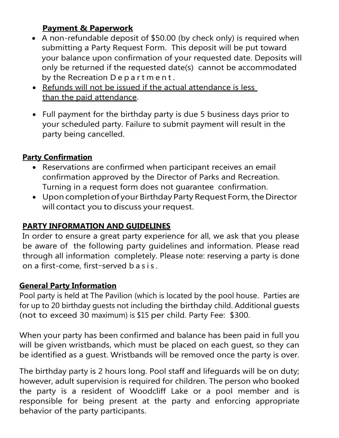# **Payment & Paperwork**

- A non-refundable deposit of \$50.00 (by check only) is required when submitting a Party Request Form. This deposit will be put toward your balance upon confirmation of your requested date. Deposits will only be returned if the requested date(s) cannot be accommodated by the Recreation Department.
- Refunds will not be issued if the actual attendance is less than the paid attendance.
- Full payment for the birthday party is due 5 business days prior to your scheduled party. Failure to submit payment will result in the party being cancelled.

# **Party Confirmation**

- Reservations are confirmed when participant receives an email confirmation approved by the Director of Parks and Recreation. Turning in a request form does not guarantee confirmation.
- Upon completion of your Birthday Party Request Form, the Director will contact you to discuss your request.

# **PARTY INFORMATION AND GUIDELINES**

In order to ensure a great party experience for all, we ask that you please be aware of the following party guidelines and information. Please read through all information completely. Please note: reserving a party is done on a first-come, first–served b a s i s .

## **General Party Information**

Pool party is held at The Pavilion (which is located by the pool house. Parties are for up to 20 birthday guests not including the birthday child. Additional guests (not to exceed 30 maximum) is \$15 per child. Party Fee: \$300.

When your party has been confirmed and balance has been paid in full you will be given wristbands, which must be placed on each guest, so they can be identified as a guest. Wristbands will be removed once the party is over.

The birthday party is 2 hours long. Pool staff and lifeguards will be on duty; however, adult supervision is required for children. The person who booked the party is a resident of Woodcliff Lake or a pool member and is responsible for being present at the party and enforcing appropriate behavior of the party participants.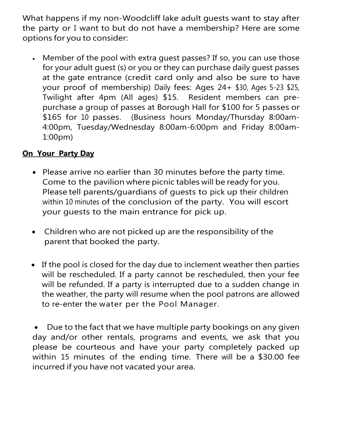What happens if my non-Woodcliff lake adult guests want to stay after the party or I want to but do not have a membership? Here are some options for you to consider:

• Member of the pool with extra guest passes? If so, you can use those for your adult guest (s) or you or they can purchase daily guest passes at the gate entrance (credit card only and also be sure to have your proof of membership) Daily fees: Ages 24+ \$30, Ages 5-23 \$25, Twilight after 4pm (All ages) \$15. Resident members can prepurchase a group of passes at Borough Hall for \$100 for 5 passes or \$165 for 10 passes. (Business hours Monday/Thursday 8:00am-4:00pm, Tuesday/Wednesday 8:00am-6:00pm and Friday 8:00am-1:00pm)

## **On Your Party Day**

- Please arrive no earlier than 30 minutes before the party time. Come to the pavilion where picnic tables will be ready for you. Please tell parents/guardians of guests to pick up their children within 10 minutes of the conclusion of the party. You will escort your guests to the main entrance for pick up.
- Children who are not picked up are the responsibility of the parent that booked the party.
- If the pool is closed for the day due to inclement weather then parties will be rescheduled. If a party cannot be rescheduled, then your fee will be refunded. If a party is interrupted due to a sudden change in the weather, the party will resume when the pool patrons are allowed to re-enter the water per the Pool Manager.

• Due to the fact that we have multiple party bookings on any given day and/or other rentals, programs and events, we ask that you please be courteous and have your party completely packed up within 15 minutes of the ending time. There will be a \$30.00 fee incurred if you have not vacated your area.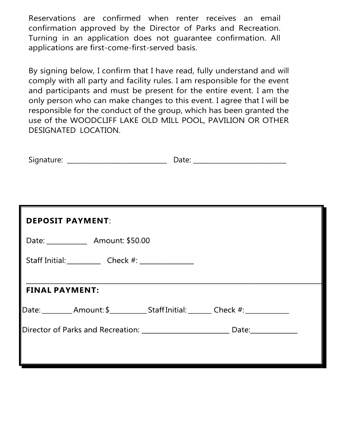Reservations are confirmed when renter receives an email confirmation approved by the Director of Parks and Recreation. Turning in an application does not guarantee confirmation. All applications are first-come-first-served basis.

By signing below, I confirm that I have read, fully understand and will comply with all party and facility rules. I am responsible for the event and participants and must be present for the entire event. I am the only person who can make changes to this event. I agree that I will be responsible for the conduct of the group, which has been granted the use of the WOODCLIFF LAKE OLD MILL POOL, PAVILION OR OTHER DESIGNATED LOCATION.

| Signature: _____________________________                                         |  |
|----------------------------------------------------------------------------------|--|
|                                                                                  |  |
| <b>DEPOSIT PAYMENT:</b>                                                          |  |
| Date: ________________ Amount: \$50.00                                           |  |
| Staff Initial: Check #: _________                                                |  |
| <b>FINAL PAYMENT:</b>                                                            |  |
| Date:__________Amount: \$____________Staff Initial: ________ Check #:___________ |  |
|                                                                                  |  |
|                                                                                  |  |